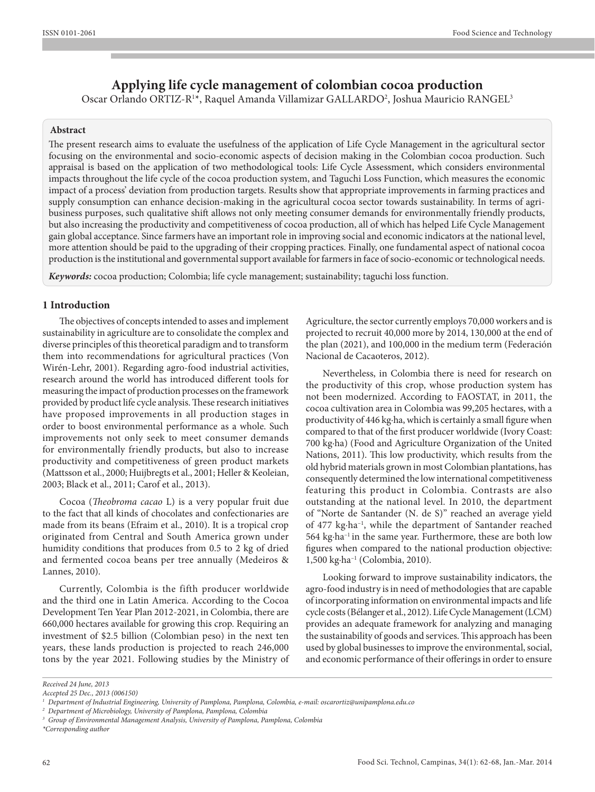# **Applying life cycle management of colombian cocoa production**

Oscar Orlando ORTIZ-R<sup>1\*</sup>, Raquel Amanda Villamizar GALLARDO<sup>2</sup>, Joshua Mauricio RANGEL<sup>3</sup>

## **Abstract**

The present research aims to evaluate the usefulness of the application of Life Cycle Management in the agricultural sector focusing on the environmental and socio-economic aspects of decision making in the Colombian cocoa production. Such appraisal is based on the application of two methodological tools: Life Cycle Assessment, which considers environmental impacts throughout the life cycle of the cocoa production system, and Taguchi Loss Function, which measures the economic impact of a process' deviation from production targets. Results show that appropriate improvements in farming practices and supply consumption can enhance decision-making in the agricultural cocoa sector towards sustainability. In terms of agribusiness purposes, such qualitative shift allows not only meeting consumer demands for environmentally friendly products, but also increasing the productivity and competitiveness of cocoa production, all of which has helped Life Cycle Management gain global acceptance. Since farmers have an important role in improving social and economic indicators at the national level, more attention should be paid to the upgrading of their cropping practices. Finally, one fundamental aspect of national cocoa production is the institutional and governmental support available for farmers in face of socio-economic or technological needs.

*Keywords:* cocoa production; Colombia; life cycle management; sustainability; taguchi loss function.

## **1 Introduction**

The objectives of concepts intended to asses and implement sustainability in agriculture are to consolidate the complex and diverse principles of this theoretical paradigm and to transform them into recommendations for agricultural practices (Von Wirén-Lehr, 2001). Regarding agro-food industrial activities, research around the world has introduced different tools for measuring the impact of production processes on the framework provided by product life cycle analysis. These research initiatives have proposed improvements in all production stages in order to boost environmental performance as a whole. Such improvements not only seek to meet consumer demands for environmentally friendly products, but also to increase productivity and competitiveness of green product markets (Mattsson et al., 2000; Huijbregts et al., 2001; Heller & Keoleian, 2003; Black et al., 2011; Carof et al., 2013).

Cocoa (*Theobroma cacao* L) is a very popular fruit due to the fact that all kinds of chocolates and confectionaries are made from its beans (Efraim et al., 2010). It is a tropical crop originated from Central and South America grown under humidity conditions that produces from 0.5 to 2 kg of dried and fermented cocoa beans per tree annually (Medeiros & Lannes, 2010).

Currently, Colombia is the fifth producer worldwide and the third one in Latin America. According to the Cocoa Development Ten Year Plan 2012-2021, in Colombia, there are 660,000 hectares available for growing this crop. Requiring an investment of \$2.5 billion (Colombian peso) in the next ten years, these lands production is projected to reach 246,000 tons by the year 2021. Following studies by the Ministry of Agriculture, the sector currently employs 70,000 workers and is projected to recruit 40,000 more by 2014, 130,000 at the end of the plan (2021), and 100,000 in the medium term (Federación Nacional de Cacaoteros, 2012).

Nevertheless, in Colombia there is need for research on the productivity of this crop, whose production system has not been modernized. According to FAOSTAT, in 2011, the cocoa cultivation area in Colombia was 99,205 hectares, with a productivity of 446 kg·ha, which is certainly a small figure when compared to that of the first producer worldwide (Ivory Coast: 700 kg·ha) (Food and Agriculture Organization of the United Nations, 2011). This low productivity, which results from the old hybrid materials grown in most Colombian plantations, has consequently determined the low international competitiveness featuring this product in Colombia. Contrasts are also outstanding at the national level. In 2010, the department of "Norte de Santander (N. de S)" reached an average yield of 477 kg·ha–1, while the department of Santander reached 564 kg·ha–1 in the same year. Furthermore, these are both low figures when compared to the national production objective: 1,500 kg·ha–1 (Colombia, 2010).

Looking forward to improve sustainability indicators, the agro-food industry is in need of methodologies that are capable of incorporating information on environmental impacts and life cycle costs (Bélanger et al., 2012). Life Cycle Management (LCM) provides an adequate framework for analyzing and managing the sustainability of goods and services. This approach has been used by global businesses to improve the environmental, social, and economic performance of their offerings in order to ensure

*Received 24 June, 2013*

*Accepted 25 Dec., 2013 (006150)*

*<sup>1</sup> Department of Industrial Engineering, University of Pamplona, Pamplona, Colombia, e-mail: oscarortiz@unipamplona.edu.co*

*<sup>2</sup> Department of Microbiology, University of Pamplona, Pamplona, Colombia*

*<sup>3</sup> Group of Environmental Management Analysis, University of Pamplona, Pamplona, Colombia \*Corresponding author*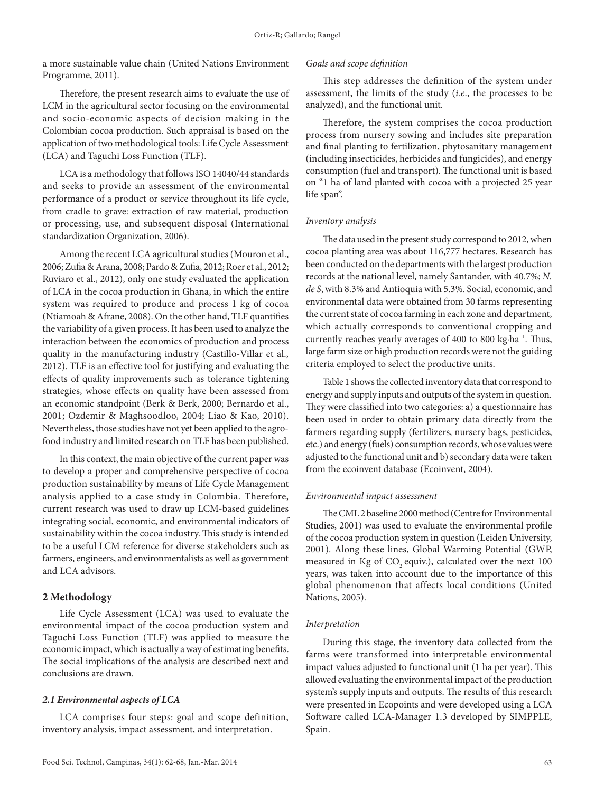a more sustainable value chain (United Nations Environment Programme, 2011).

Therefore, the present research aims to evaluate the use of LCM in the agricultural sector focusing on the environmental and socio-economic aspects of decision making in the Colombian cocoa production. Such appraisal is based on the application of two methodological tools: Life Cycle Assessment (LCA) and Taguchi Loss Function (TLF).

LCA is a methodology that follows ISO 14040/44 standards and seeks to provide an assessment of the environmental performance of a product or service throughout its life cycle, from cradle to grave: extraction of raw material, production or processing, use, and subsequent disposal (International standardization Organization, 2006).

Among the recent LCA agricultural studies (Mouron et al., 2006; Zufia & Arana, 2008; Pardo & Zufia, 2012; Roer et al., 2012; Ruviaro et al., 2012), only one study evaluated the application of LCA in the cocoa production in Ghana, in which the entire system was required to produce and process 1 kg of cocoa (Ntiamoah & Afrane, 2008). On the other hand, TLF quantifies the variability of a given process. It has been used to analyze the interaction between the economics of production and process quality in the manufacturing industry (Castillo-Villar et al., 2012). TLF is an effective tool for justifying and evaluating the effects of quality improvements such as tolerance tightening strategies, whose effects on quality have been assessed from an economic standpoint (Berk & Berk, 2000; Bernardo et al., 2001; Ozdemir & Maghsoodloo, 2004; Liao & Kao, 2010). Nevertheless, those studies have not yet been applied to the agrofood industry and limited research on TLF has been published.

In this context, the main objective of the current paper was to develop a proper and comprehensive perspective of cocoa production sustainability by means of Life Cycle Management analysis applied to a case study in Colombia. Therefore, current research was used to draw up LCM-based guidelines integrating social, economic, and environmental indicators of sustainability within the cocoa industry. This study is intended to be a useful LCM reference for diverse stakeholders such as farmers, engineers, and environmentalists as well as government and LCA advisors.

## **2 Methodology**

Life Cycle Assessment (LCA) was used to evaluate the environmental impact of the cocoa production system and Taguchi Loss Function (TLF) was applied to measure the economic impact, which is actually a way of estimating benefits. The social implications of the analysis are described next and conclusions are drawn.

## *2.1 Environmental aspects of LCA*

LCA comprises four steps: goal and scope definition, inventory analysis, impact assessment, and interpretation.

#### *Goals and scope definition*

This step addresses the definition of the system under assessment, the limits of the study (*i.e*., the processes to be analyzed), and the functional unit.

Therefore, the system comprises the cocoa production process from nursery sowing and includes site preparation and final planting to fertilization, phytosanitary management (including insecticides, herbicides and fungicides), and energy consumption (fuel and transport). The functional unit is based on "1 ha of land planted with cocoa with a projected 25 year life span".

### *Inventory analysis*

The data used in the present study correspond to 2012, when cocoa planting area was about 116,777 hectares. Research has been conducted on the departments with the largest production records at the national level, namely Santander, with 40.7%; *N. de S*, with 8.3% and Antioquia with 5.3%. Social, economic, and environmental data were obtained from 30 farms representing the current state of cocoa farming in each zone and department, which actually corresponds to conventional cropping and currently reaches yearly averages of 400 to 800 kg·ha–1. Thus, large farm size or high production records were not the guiding criteria employed to select the productive units.

Table 1 shows the collected inventory data that correspond to energy and supply inputs and outputs of the system in question. They were classified into two categories: a) a questionnaire has been used in order to obtain primary data directly from the farmers regarding supply (fertilizers, nursery bags, pesticides, etc.) and energy (fuels) consumption records, whose values were adjusted to the functional unit and b) secondary data were taken from the ecoinvent database (Ecoinvent, 2004).

#### *Environmental impact assessment*

The CML 2 baseline 2000 method (Centre for Environmental Studies, 2001) was used to evaluate the environmental profile of the cocoa production system in question (Leiden University, 2001). Along these lines, Global Warming Potential (GWP, measured in Kg of CO<sub>2</sub> equiv.), calculated over the next 100 years, was taken into account due to the importance of this global phenomenon that affects local conditions (United Nations, 2005).

#### *Interpretation*

During this stage, the inventory data collected from the farms were transformed into interpretable environmental impact values adjusted to functional unit (1 ha per year). This allowed evaluating the environmental impact of the production system's supply inputs and outputs. The results of this research were presented in Ecopoints and were developed using a LCA Software called LCA-Manager 1.3 developed by SIMPPLE, Spain.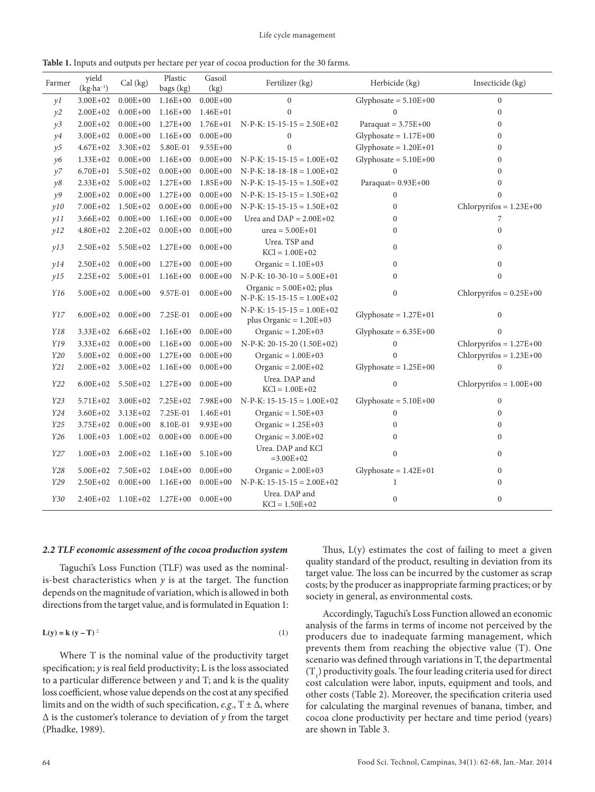**Table 1.** Inputs and outputs per hectare per year of cocoa production for the 30 farms.

| Farmer  | yield<br>$(kg \cdot ha^{-1})$ | Cal (kg)     | Plastic<br>bags (kg) | Gasoil<br>(kg) | Fertilizer (kg)                                           | Herbicide (kg)          | Insecticide (kg)          |
|---------|-------------------------------|--------------|----------------------|----------------|-----------------------------------------------------------|-------------------------|---------------------------|
| y1      | $3.00E + 02$                  | $0.00E + 00$ | $1.16E + 00$         | $0.00E + 00$   | $\Omega$                                                  | Glyphosate = $5.10E+00$ | $\Omega$                  |
| y2      | $2.00E + 02$                  | $0.00E + 00$ | $1.16E + 00$         | $1.46E + 01$   | $\mathbf{0}$                                              | $\Omega$                | $\boldsymbol{0}$          |
| y3      | $2.00E + 02$                  | $0.00E + 00$ | $1.27E + 00$         | $1.76E + 01$   | $N-P-K: 15-15-15 = 2.50E+02$                              | Paraquat = $3.75E+00$   | $\overline{0}$            |
| y4      | $3.00E + 02$                  | $0.00E + 00$ | $1.16E + 00$         | $0.00E + 00$   | $\mathbf{0}$                                              | Glyphosate = $1.17E+00$ | $\Omega$                  |
| y5      | $4.67E + 02$                  | $3.30E + 02$ | 5.80E-01             | $9.55E + 00$   | $\theta$                                                  | Glyphosate = $1.20E+01$ | $\overline{0}$            |
| $\nu$ 6 | $1.33E + 02$                  | $0.00E + 00$ | $1.16E + 00$         | $0.00E + 00$   | $N-P-K: 15-15-15 = 1.00E+02$                              | Glyphosate = $5.10E+00$ | $\theta$                  |
| y7      | $6.70E + 01$                  | $5.50E + 02$ | $0.00E + 00$         | $0.00E + 00$   | $N-P-K: 18-18-18 = 1.00E+02$                              | $\theta$                | $\overline{0}$            |
| $\nu 8$ | $2.33E+02$                    | $5.00E + 02$ | $1.27E + 00$         | $1.85E + 00$   | $N-P-K: 15-15-15 = 1.50E+02$                              | Paraquat= $0.93E+00$    | $\theta$                  |
| y9      | $2.00E + 02$                  | $0.00E + 00$ | $1.27E + 00$         | $0.00E + 00$   | $N-P-K$ : 15-15-15 = 1.50E+02                             | $\mathbf{0}$            | $\Omega$                  |
| y10     | $7.00E + 02$                  | $1.50E + 02$ | $0.00E + 00$         | $0.00E + 00$   | $N-P-K: 15-15-15 = 1.50E+02$                              | $\mathbf{0}$            | $Chlorpyrifos = 1.23E+00$ |
| y11     | 3.66E+02                      | $0.00E + 00$ | $1.16E + 00$         | $0.00E + 00$   | Urea and $DAP = 2.00E+02$                                 | $\overline{0}$          |                           |
| y12     | $4.80E + 02$                  | $2.20E + 02$ | $0.00E + 00$         | $0.00E + 00$   | $area = 5.00E + 01$                                       | $\Omega$                | $\mathbf{0}$              |
| y13     | $2.50E + 02$                  | 5.50E+02     | $1.27E + 00$         | $0.00E + 00$   | Urea. TSP and<br>$KCl = 1.00E+02$                         | $\Omega$                | $\mathbf{0}$              |
| y14     | $2.50E + 02$                  | $0.00E + 00$ | $1.27E + 00$         | $0.00E + 00$   | Organic = $1.10E+03$                                      | $\overline{0}$          | $\boldsymbol{0}$          |
| y15     | $2.25E + 02$                  | $5.00E + 01$ | $1.16E + 00$         | $0.00E + 00$   | $N-P-K: 10-30-10 = 5.00E+01$                              | $\Omega$                | $\theta$                  |
| Y16     | $5.00E + 02$                  | $0.00E + 00$ | 9.57E-01             | $0.00E + 00$   | Organic = 5.00E+02; plus<br>$N-P-K: 15-15-15 = 1.00E+02$  | $\overline{0}$          | $Chlorpyrifos = 0.25E+00$ |
| Y17     | $6.00E + 02$                  | $0.00E + 00$ | 7.25E-01             | $0.00E + 00$   | $N-P-K: 15-15-15 = 1.00E+02$<br>plus Organic = $1.20E+03$ | Glyphosate = $1.27E+01$ | $\mathbf{0}$              |
| Y18     | 3.33E+02                      | $6.66E + 02$ | $1.16E + 00$         | $0.00E + 00$   | Organic = $1.20E+03$                                      | Glyphosate = $6.35E+00$ | $\Omega$                  |
| Y19     | $3.33E + 02$                  | $0.00E + 00$ | $1.16E + 00$         | $0.00E + 00$   | N-P-K: 20-15-20 (1.50E+02)                                | $\mathbf{0}$            | $Chlorpyrifos = 1.27E+00$ |
| Y20     | $5.00E + 02$                  | $0.00E + 00$ | $1.27E + 00$         | $0.00E + 00$   | Organic = $1.00E+03$                                      | $\Omega$                | $Chlorpyrifos = 1.23E+00$ |
| Y21     | $2.00E + 02$                  | $3.00E + 02$ | $1.16E + 00$         | $0.00E + 00$   | Organic = $2.00E+02$                                      | Glyphosate = $1.25E+00$ | $\mathbf{0}$              |
| Y22     | $6.00E + 02$                  | $5.50E + 02$ | $1.27E + 00$         | $0.00E + 00$   | Urea. DAP and<br>$KCl = 1.00E + 02$                       | $\theta$                | $Chlorpyrifos = 1.00E+00$ |
| Y23     | 5.71E+02                      | $3.00E + 02$ | 7.25E+02             | 7.98E+00       | $N-P-K: 15-15-15 = 1.00E+02$                              | Glyphosate = $5.10E+00$ | $\mathbf{0}$              |
| Y24     | $3.60E + 02$                  | $3.13E + 02$ | 7.25E-01             | $1.46E + 01$   | Organic = $1.50E+03$                                      | $\mathbf{0}$            | $\mathbf{0}$              |
| Y25     | $3.75E + 02$                  | $0.00E + 00$ | 8.10E-01             | $9.93E + 00$   | Organic = $1.25E+03$                                      | $\overline{0}$          | 0                         |
| Y26     | $1.00E + 03$                  | $1.00E + 02$ | $0.00E + 00$         | $0.00E + 00$   | Organic = $3.00E+02$                                      | $\theta$                | $\mathbf{0}$              |
| Y27     | $1.00E + 03$                  | $2.00E + 02$ | $1.16E + 00$         | $5.10E + 00$   | Urea. DAP and KCl<br>$=3.00E+02$                          | $\theta$                | $\mathbf{0}$              |
| Y28     | $5.00E + 02$                  | 7.50E+02     | $1.04E + 00$         | $0.00E + 00$   | Organic = $2.00E+03$                                      | Glyphosate = $1.42E+01$ | $\mathbf{0}$              |
| Y29     | $2.50E + 02$                  | $0.00E + 00$ | $1.16E + 00$         | $0.00E + 00$   | $N-P-K: 15-15-15 = 2.00E+02$                              | 1                       | $\mathbf{0}$              |
| Y30     | 2.40E+02                      | $1.10E + 02$ | $1.27E + 00$         | $0.00E + 00$   | Urea. DAP and<br>$KCl = 1.50E+02$                         | $\overline{0}$          | $\mathbf{0}$              |

### *2.2 TLF economic assessment of the cocoa production system*

Taguchi's Loss Function (TLF) was used as the nominalis-best characteristics when *y* is at the target. The function depends on the magnitude of variation, which is allowed in both directions from the target value, and is formulated in Equation 1:

$$
\mathbf{L}(\mathbf{y}) = \mathbf{k} (\mathbf{y} - \mathbf{T})^2 \tag{1}
$$

Where T is the nominal value of the productivity target specification; *y* is real field productivity; L is the loss associated to a particular difference between *y* and T; and k is the quality loss coefficient, whose value depends on the cost at any specified limits and on the width of such specification,  $e.g., T \pm \Delta$ , where Δ is the customer's tolerance to deviation of *y* from the target (Phadke, 1989).

Thus,  $L(y)$  estimates the cost of failing to meet a given quality standard of the product, resulting in deviation from its target value. The loss can be incurred by the customer as scrap costs; by the producer as inappropriate farming practices; or by society in general, as environmental costs.

Accordingly, Taguchi's Loss Function allowed an economic analysis of the farms in terms of income not perceived by the producers due to inadequate farming management, which prevents them from reaching the objective value (T). One scenario was defined through variations in T, the departmental  $(\mathrm{T}_\mathrm{l})$  productivity goals. The four leading criteria used for direct cost calculation were labor, inputs, equipment and tools, and other costs (Table 2). Moreover, the specification criteria used for calculating the marginal revenues of banana, timber, and cocoa clone productivity per hectare and time period (years) are shown in Table 3.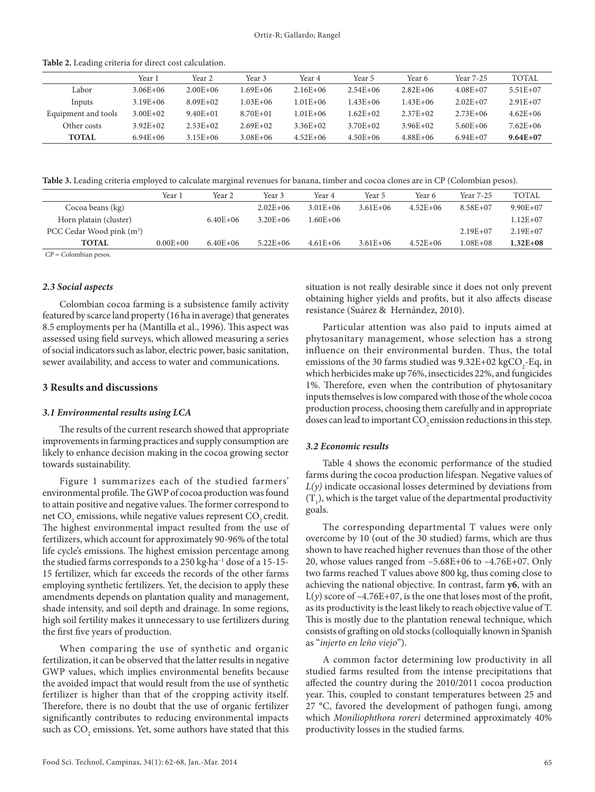|                     | Year 1       | Year 2       | Year 3       | Year 4       | Year 5       | Year 6       | Year 7-25    | <b>TOTAL</b> |
|---------------------|--------------|--------------|--------------|--------------|--------------|--------------|--------------|--------------|
| Labor               | $3.06E + 06$ | $2.00E + 06$ | 1.69E+06     | $2.16E + 06$ | $2.54E+06$   | $2.82E+06$   | $4.08E + 07$ | $5.51E+07$   |
| Inputs              | $3.19E + 06$ | $8.09E + 02$ | $1.03E + 06$ | $1.01E + 06$ | $1.43E + 06$ | $1.43E + 06$ | $2.02E + 07$ | $2.91E+07$   |
| Equipment and tools | $3.00E + 02$ | $9.40E + 01$ | $8.70E + 01$ | $1.01E + 06$ | $1.62E + 02$ | $2.37E+02$   | $2.73E + 06$ | $4.62E + 06$ |
| Other costs         | $3.92E+02$   | $2.53E+02$   | $2.69E+02$   | $3.36E+02$   | $3.70E + 02$ | $3.96E+02$   | $5.60E + 06$ | $7.62E + 06$ |
| <b>TOTAL</b>        | $6.94E + 06$ | $3.15E + 06$ | $3.08E + 06$ | $4.52E + 06$ | $4.50E + 06$ | $4.88E + 06$ | $6.94E+07$   | $9.64E + 07$ |

**Table 2.** Leading criteria for direct cost calculation.

**Table 3.** Leading criteria employed to calculate marginal revenues for banana, timber and cocoa clones are in CP (Colombian pesos).

|                                       | Year 1       | Year 2       | Year 3       | Year 4       | Year 5       | Year 6       | Year 7-25     | TOTAL        |
|---------------------------------------|--------------|--------------|--------------|--------------|--------------|--------------|---------------|--------------|
| Cocoa beans (kg)                      |              |              | $2.02E + 06$ | $3.01E + 06$ | $3.61E + 06$ | $4.52E + 06$ | $8.58E + 07$  | $9.90E + 07$ |
| Horn platain (cluster)                |              | $6.40E + 06$ | $3.20E + 06$ | $1.60E + 06$ |              |              |               | $1.12E + 07$ |
| PCC Cedar Wood pink (m <sup>3</sup> ) |              |              |              |              |              |              | $2.19E + 07$  | $2.19E + 07$ |
| <b>TOTAL</b>                          | $0.00E + 00$ | $6.40E + 06$ | $5.22E + 06$ | $4.61E + 06$ | $3.61E + 06$ | $4.52E + 06$ | $0.08E + 0.8$ | $1.32E + 08$ |
| $CP =$ Colombian pesos.               |              |              |              |              |              |              |               |              |

#### *2.3 Social aspects*

Colombian cocoa farming is a subsistence family activity featured by scarce land property (16 ha in average) that generates 8.5 employments per ha (Mantilla et al., 1996). This aspect was assessed using field surveys, which allowed measuring a series of social indicators such as labor, electric power, basic sanitation, sewer availability, and access to water and communications.

### **3 Results and discussions**

#### *3.1 Environmental results using LCA*

The results of the current research showed that appropriate improvements in farming practices and supply consumption are likely to enhance decision making in the cocoa growing sector towards sustainability.

Figure 1 summarizes each of the studied farmers' environmental profile. The GWP of cocoa production was found to attain positive and negative values. The former correspond to net  $\mathrm{CO}_2$  emissions, while negative values represent  $\mathrm{CO}_2$  credit. The highest environmental impact resulted from the use of fertilizers, which account for approximately 90-96% of the total life cycle's emissions. The highest emission percentage among the studied farms corresponds to a 250 kg·ha–1 dose of a 15-15- 15 fertilizer, which far exceeds the records of the other farms employing synthetic fertilizers. Yet, the decision to apply these amendments depends on plantation quality and management, shade intensity, and soil depth and drainage. In some regions, high soil fertility makes it unnecessary to use fertilizers during the first five years of production.

When comparing the use of synthetic and organic fertilization, it can be observed that the latter results in negative GWP values, which implies environmental benefits because the avoided impact that would result from the use of synthetic fertilizer is higher than that of the cropping activity itself. Therefore, there is no doubt that the use of organic fertilizer significantly contributes to reducing environmental impacts such as  $\mathrm{CO}_2$  emissions. Yet, some authors have stated that this

situation is not really desirable since it does not only prevent obtaining higher yields and profits, but it also affects disease resistance (Suárez & Hernández, 2010).

Particular attention was also paid to inputs aimed at phytosanitary management, whose selection has a strong influence on their environmental burden. Thus, the total emissions of the 30 farms studied was  $9.32E+02$  kgCO<sub>2</sub>-Eq, in which herbicides make up 76%, insecticides 22%, and fungicides 1%. Therefore, even when the contribution of phytosanitary inputs themselves is low compared with those of the whole cocoa production process, choosing them carefully and in appropriate doses can lead to important CO<sub>2</sub> emission reductions in this step.

### *3.2 Economic results*

Table 4 shows the economic performance of the studied farms during the cocoa production lifespan. Negative values of *L(y)* indicate occasional losses determined by deviations from  $(T_1)$ , which is the target value of the departmental productivity goals.

The corresponding departmental T values were only overcome by 10 (out of the 30 studied) farms, which are thus shown to have reached higher revenues than those of the other 20, whose values ranged from –5.68E+06 to –4.76E+07. Only two farms reached T values above 800 kg, thus coming close to achieving the national objective. In contrast, farm **y6**, with an  $L(y)$  score of  $-4.76E+07$ , is the one that loses most of the profit, as its productivity is the least likely to reach objective value of T. This is mostly due to the plantation renewal technique, which consists of grafting on old stocks (colloquially known in Spanish as "*injerto en leño viejo*").

A common factor determining low productivity in all studied farms resulted from the intense precipitations that affected the country during the 2010/2011 cocoa production year. This, coupled to constant temperatures between 25 and 27 °C, favored the development of pathogen fungi, among which *Moniliophthora roreri* determined approximately 40% productivity losses in the studied farms.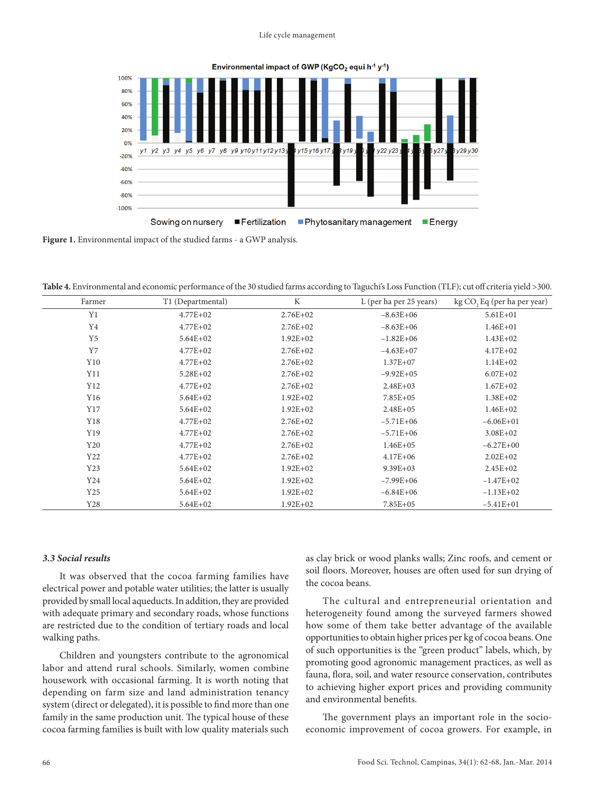#### Life cycle management



**Figure 1.** Environmental impact of the studied farms - a GWP analysis.

**Table 4.** Environmental and economic performance of the 30 studied farms according to Taguchi's Loss Function (TLF); cut off criteria yield >300.

| Farmer          | T1 (Departmental) | $\mathbf K$  | L (per ha per 25 years) | kg CO <sub>2</sub> Eq (per ha per year) |
|-----------------|-------------------|--------------|-------------------------|-----------------------------------------|
| Y1              | $4.77E + 02$      | $2.76E + 02$ | $-8.63E+06$             | $5.61E + 01$                            |
| Y4              | $4.77E + 02$      | $2.76E + 02$ | $-8.63E+06$             | $1.46E + 01$                            |
| Y <sub>5</sub>  | $5.64E + 02$      | $1.92E + 02$ | $-1.82E + 06$           | $1.43E + 02$                            |
| Y7              | $4.77E + 02$      | $2.76E + 02$ | $-4.63E+07$             | $4.17E + 02$                            |
| Y10             | $4.77E + 02$      | $2.76E+02$   | $1.37E + 07$            | $1.14E + 02$                            |
| Y11             | $5.28E + 02$      | $2.76E + 02$ | $-9.92E+05$             | $6.07E + 02$                            |
| Y12             | $4.77E + 02$      | $2.76E+02$   | $2.48E + 03$            | $1.67E + 02$                            |
| Y16             | $5.64E + 02$      | $1.92E + 02$ | $7.85E + 05$            | $1.38E + 02$                            |
| Y17             | $5.64E + 02$      | $1.92E + 02$ | $2.48E + 05$            | $1.46E + 02$                            |
| Y18             | $4.77E + 02$      | $2.76E+02$   | $-5.71E+06$             | $-6.06E + 01$                           |
| Y19             | $4.77E + 02$      | $2.76E+02$   | $-5.71E+06$             | $3.08E + 02$                            |
| Y <sub>20</sub> | $4.77E + 02$      | $2.76E+02$   | $1.46E + 05$            | $-6.27E+00$                             |
| Y22             | $4.77E + 02$      | $2.76E + 02$ | $4.17E + 06$            | $2.02E + 02$                            |
| Y23             | $5.64E + 02$      | $1.92E + 02$ | $9.39E + 03$            | $2.45E+02$                              |
| Y24             | $5.64E + 02$      | $1.92E + 02$ | $-7.99E + 06$           | $-1.47E+02$                             |
| Y25             | $5.64E + 02$      | $1.92E + 02$ | $-6.84E + 06$           | $-1.13E+02$                             |
| Y28             | $5.64E + 02$      | $1.92E + 02$ | 7.85E+05                | $-5.41E+01$                             |

### *3.3 Social results*

It was observed that the cocoa farming families have electrical power and potable water utilities; the latter is usually provided by small local aqueducts. In addition, they are provided with adequate primary and secondary roads, whose functions are restricted due to the condition of tertiary roads and local walking paths.

Children and youngsters contribute to the agronomical labor and attend rural schools. Similarly, women combine housework with occasional farming. It is worth noting that depending on farm size and land administration tenancy system (direct or delegated), it is possible to find more than one family in the same production unit. The typical house of these cocoa farming families is built with low quality materials such as clay brick or wood planks walls; Zinc roofs, and cement or soil floors. Moreover, houses are often used for sun drying of the cocoa beans.

The cultural and entrepreneurial orientation and heterogeneity found among the surveyed farmers showed how some of them take better advantage of the available opportunities to obtain higher prices per kg of cocoa beans. One of such opportunities is the "green product" labels, which, by promoting good agronomic management practices, as well as fauna, flora, soil, and water resource conservation, contributes to achieving higher export prices and providing community and environmental benefits.

The government plays an important role in the socioeconomic improvement of cocoa growers. For example, in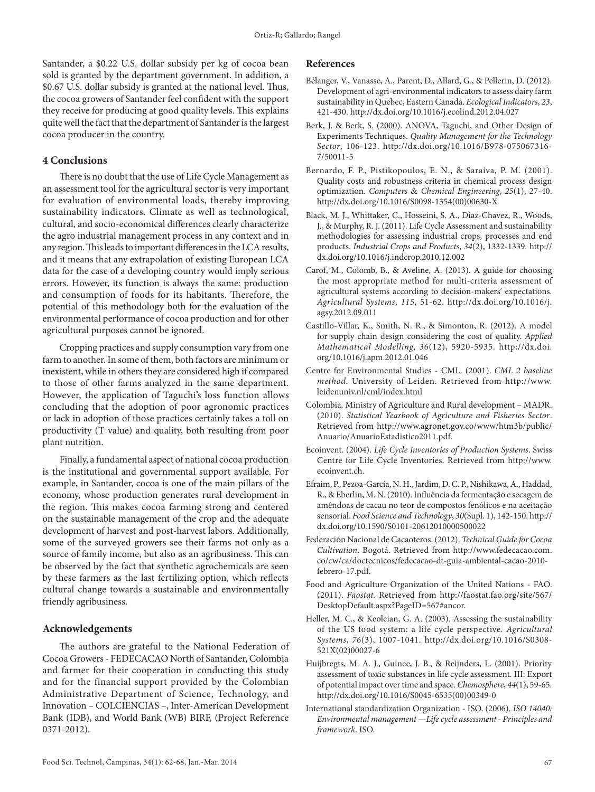Santander, a \$0.22 U.S. dollar subsidy per kg of cocoa bean sold is granted by the department government. In addition, a \$0.67 U.S. dollar subsidy is granted at the national level. Thus, the cocoa growers of Santander feel confident with the support they receive for producing at good quality levels. This explains quite well the fact that the department of Santander is the largest cocoa producer in the country.

## **4 Conclusions**

There is no doubt that the use of Life Cycle Management as an assessment tool for the agricultural sector is very important for evaluation of environmental loads, thereby improving sustainability indicators. Climate as well as technological, cultural, and socio-economical differences clearly characterize the agro industrial management process in any context and in any region. This leads to important differences in the LCA results, and it means that any extrapolation of existing European LCA data for the case of a developing country would imply serious errors. However, its function is always the same: production and consumption of foods for its habitants. Therefore, the potential of this methodology both for the evaluation of the environmental performance of cocoa production and for other agricultural purposes cannot be ignored.

Cropping practices and supply consumption vary from one farm to another. In some of them, both factors are minimum or inexistent, while in others they are considered high if compared to those of other farms analyzed in the same department. However, the application of Taguchi's loss function allows concluding that the adoption of poor agronomic practices or lack in adoption of those practices certainly takes a toll on productivity (T value) and quality, both resulting from poor plant nutrition.

Finally, a fundamental aspect of national cocoa production is the institutional and governmental support available. For example, in Santander, cocoa is one of the main pillars of the economy, whose production generates rural development in the region. This makes cocoa farming strong and centered on the sustainable management of the crop and the adequate development of harvest and post-harvest labors. Additionally, some of the surveyed growers see their farms not only as a source of family income, but also as an agribusiness. This can be observed by the fact that synthetic agrochemicals are seen by these farmers as the last fertilizing option, which reflects cultural change towards a sustainable and environmentally friendly agribusiness.

## **Acknowledgements**

The authors are grateful to the National Federation of Cocoa Growers - FEDECACAO North of Santander, Colombia and farmer for their cooperation in conducting this study and for the financial support provided by the Colombian Administrative Department of Science, Technology, and Innovation – COLCIENCIAS –, Inter-American Development Bank (IDB), and World Bank (WB) BIRF, (Project Reference 0371-2012).

## **References**

- Bélanger, V., Vanasse, A., Parent, D., Allard, G., & Pellerin, D. (2012). Development of agri-environmental indicators to assess dairy farm sustainability in Quebec, Eastern Canada. *Ecological Indicators*, *23*, 421-430. <http://dx.doi.org/10.1016/j.ecolind.2012.04.027>
- Berk, J. & Berk, S. (2000). ANOVA, Taguchi, and Other Design of Experiments Techniques. *Quality Management for the Technology Sector*, 106-123. [http://dx.doi.org/10.1016/B978-075067316-](http://dx.doi.org/10.1016/B978-075067316-7/50011-5) [7/50011-5](http://dx.doi.org/10.1016/B978-075067316-7/50011-5)
- Bernardo, F. P., Pistikopoulos, E. N., & Saraiva, P. M. (2001). Quality costs and robustness criteria in chemical process design optimization. *Computers* & *Chemical Engineering*, *25*(1), 27-40. [http://dx.doi.org/10.1016/S0098-1354\(00\)00630-X](http://dx.doi.org/10.1016/S0098-1354(00)00630-X)
- Black, M. J., Whittaker, C., Hosseini, S. A., Diaz-Chavez, R., Woods, J., & Murphy, R. J. (2011). Life Cycle Assessment and sustainability methodologies for assessing industrial crops, processes and end products. *Industrial Crops and Products*, *34*(2), 1332-1339. [http://](http://dx.doi.org/10.1016/j.indcrop.2010.12.002) [dx.doi.org/10.1016/j.indcrop.2010.12.002](http://dx.doi.org/10.1016/j.indcrop.2010.12.002)
- Carof, M., Colomb, B., & Aveline, A. (2013). A guide for choosing the most appropriate method for multi-criteria assessment of agricultural systems according to decision-makers' expectations. *Agricultural Systems*, *115*, 51-62. [http://dx.doi.org/10.1016/j.](http://dx.doi.org/10.1016/j.agsy.2012.09.011) [agsy.2012.09.011](http://dx.doi.org/10.1016/j.agsy.2012.09.011)
- Castillo-Villar, K., Smith, N. R., & Simonton, R. (2012). A model for supply chain design considering the cost of quality. *Applied Mathematical Modelling*, *36*(12), 5920-5935. [http://dx.doi.](http://dx.doi.org/10.1016/j.apm.2012.01.046) [org/10.1016/j.apm.2012.01.046](http://dx.doi.org/10.1016/j.apm.2012.01.046)
- Centre for Environmental Studies CML. (2001). *CML 2 baseline method*. University of Leiden. Retrieved from http://www. leidenuniv.nl/cml/index.html
- Colombia. Ministry of Agriculture and Rural development MADR. (2010). *Statistical Yearbook of Agriculture and Fisheries Sector*. Retrieved from [http://www.agronet.gov.co/www/htm3b/public/](http://www.agronet.gov.co/www/htm3b/public/Anuario/AnuarioEstadistico2011.pdf) [Anuario/AnuarioEstadistico2011.pdf](http://www.agronet.gov.co/www/htm3b/public/Anuario/AnuarioEstadistico2011.pdf).
- Ecoinvent. (2004). *Life Cycle Inventories of Production Systems*. Swiss Centre for Life Cycle Inventories. Retrieved from [http://www.](http://www.ecoinvent.ch) [ecoinvent.ch.](http://www.ecoinvent.ch)
- Efraim, P., Pezoa-García, N. H., Jardim, D. C. P., Nishikawa, A., Haddad, R., & Eberlin, M. N. (2010). Influência da fermentação e secagem de amêndoas de cacau no teor de compostos fenólicos e na aceitação sensorial. *Food Science and Technology*, *30*(Supl. 1), 142-150. [http://](http://dx.doi.org/10.1590/S0101-20612010000500022) [dx.doi.org/10.1590/S0101-20612010000500022](http://dx.doi.org/10.1590/S0101-20612010000500022)
- Federación Nacional de Cacaoteros. (2012). *Technical Guide for Cocoa Cultivation*. Bogotá. Retrieved from [http://www.fedecacao.com.](http://www.fedecacao.com.co/cw/ca/doctecnicos/fedecacao-dt-guia-ambiental-cacao-2010-febrero-17.pdf) [co/cw/ca/doctecnicos/fedecacao-dt-guia-ambiental-cacao-2010](http://www.fedecacao.com.co/cw/ca/doctecnicos/fedecacao-dt-guia-ambiental-cacao-2010-febrero-17.pdf) [febrero-17.pdf](http://www.fedecacao.com.co/cw/ca/doctecnicos/fedecacao-dt-guia-ambiental-cacao-2010-febrero-17.pdf).
- Food and Agriculture Organization of the United Nations FAO. (2011). *Faostat.* Retrieved from [http://faostat.fao.org/site/567/](http://faostat.fao.org/site/567/DesktopDefault.aspx?PageID=567#ancor.) [DesktopDefault.aspx?PageID=567#ancor.](http://faostat.fao.org/site/567/DesktopDefault.aspx?PageID=567#ancor.)
- Heller, M. C., & Keoleian, G. A. (2003). Assessing the sustainability of the US food system: a life cycle perspective. *Agricultural Systems*, *76*(3), 1007-1041. [http://dx.doi.org/10.1016/S0308-](http://dx.doi.org/10.1016/S0308-521X(02)00027-6) [521X\(02\)00027-6](http://dx.doi.org/10.1016/S0308-521X(02)00027-6)
- Huijbregts, M. A. J., Guinee, J. B., & Reijnders, L. (2001). Priority assessment of toxic substances in life cycle assessment. III: Export of potential impact over time and space. *Chemosphere*, *44*(1), 59-65. [http://dx.doi.org/10.1016/S0045-6535\(00\)00349-0](http://dx.doi.org/10.1016/S0045-6535(00)00349-0)
- International standardization Organization ISO. (2006). *ISO 14040: Environmental management —Life cycle assessment - Principles and framework*. ISO.